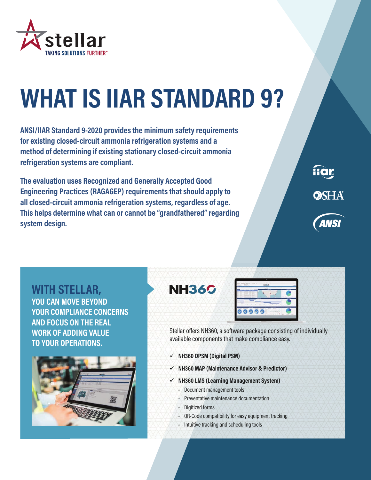

## **WHAT IS IIAR STANDARD 9?**

**ANSI/IIAR Standard 9-2020 provides the minimum safety requirements for existing closed-circuit ammonia refrigeration systems and a method of determining if existing stationary closed-circuit ammonia refrigeration systems are compliant.** 

**The evaluation uses Recognized and Generally Accepted Good Engineering Practices (RAGAGEP) requirements that should apply to all closed-circuit ammonia refrigeration systems, regardless of age. This helps determine what can or cannot be "grandfathered" regarding system design.**



fiar

**OSHA** 

**WITH STELLAR, YOU CAN MOVE BEYOND YOUR COMPLIANCE CONCERNS AND FOCUS ON THE REAL WORK OF ADDING VALUE TO YOUR OPERATIONS.**



Stellar offers NH360, a software package consisting of individually available components that make compliance easy.

 **NH360 DPSM (Digital PSM)**

**NH360** 

- **NH360 MAP (Maintenance Advisor & Predictor)**
- **NH360 LMS (Learning Management System)**
	- Document management tools
	- Preventative maintenance documentation
	- Digitized forms
	- QR-Code compatibility for easy equipment tracking
	- Intuitive tracking and scheduling tools